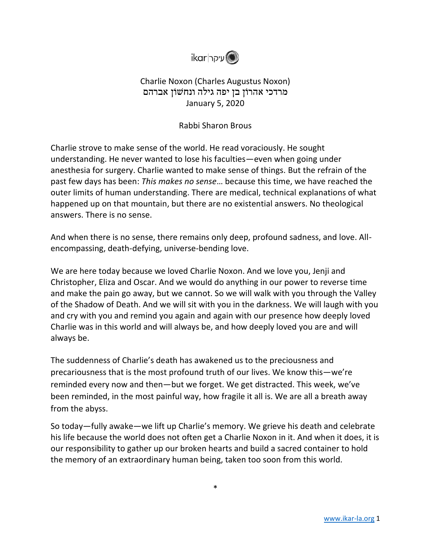

## Charlie Noxon (Charles Augustus Noxon) מרדכי אהרוֹן בן יפה גילה ונחשׁוֹן אברהם January 5, 2020

## Rabbi Sharon Brous

Charlie strove to make sense of the world. He read voraciously. He sought understanding. He never wanted to lose his faculties—even when going under anesthesia for surgery. Charlie wanted to make sense of things. But the refrain of the past few days has been: *This makes no sense*… because this time, we have reached the outer limits of human understanding. There are medical, technical explanations of what happened up on that mountain, but there are no existential answers. No theological answers. There is no sense.

And when there is no sense, there remains only deep, profound sadness, and love. Allencompassing, death-defying, universe-bending love.

We are here today because we loved Charlie Noxon. And we love you, Jenji and Christopher, Eliza and Oscar. And we would do anything in our power to reverse time and make the pain go away, but we cannot. So we will walk with you through the Valley of the Shadow of Death. And we will sit with you in the darkness. We will laugh with you and cry with you and remind you again and again with our presence how deeply loved Charlie was in this world and will always be, and how deeply loved you are and will always be.

The suddenness of Charlie's death has awakened us to the preciousness and precariousness that is the most profound truth of our lives. We know this—we're reminded every now and then—but we forget. We get distracted. This week, we've been reminded, in the most painful way, how fragile it all is. We are all a breath away from the abyss.

So today—fully awake—we lift up Charlie's memory. We grieve his death and celebrate his life because the world does not often get a Charlie Noxon in it. And when it does, it is our responsibility to gather up our broken hearts and build a sacred container to hold the memory of an extraordinary human being, taken too soon from this world.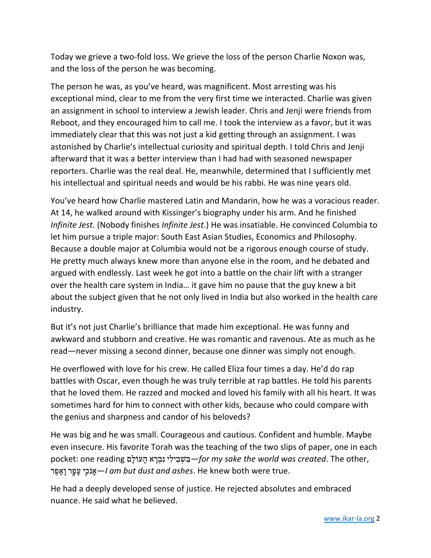Today we grieve a two-fold loss. We grieve the loss of the person Charlie Noxon was, and the loss of the person he was becoming.

The person he was, as you've heard, was magnificent. Most arresting was his exceptional mind, clear to me from the very first time we interacted. Charlie was given an assignment in school to interview a Jewish leader. Chris and Jenji were friends from Reboot, and they encouraged him to call me. I took the interview as a favor, but it was immediately clear that this was not just a kid getting through an assignment. I was astonished by Charlie's intellectual curiosity and spiritual depth. I told Chris and Jenji afterward that it was a better interview than I had had with seasoned newspaper reporters. Charlie was the real deal. He, meanwhile, determined that I sufficiently met his intellectual and spiritual needs and would be his rabbi. He was nine years old.

You've heard how Charlie mastered Latin and Mandarin, how he was a voracious reader. At 14, he walked around with Kissinger's biography under his arm. And he finished *Infinite Jest*. (Nobody finishes *Infinite Jest*.) He was insatiable. He convinced Columbia to let him pursue a triple major: South East Asian Studies, Economics and Philosophy. Because a double major at Columbia would not be a rigorous enough course of study. He pretty much always knew more than anyone else in the room, and he debated and argued with endlessly. Last week he got into a battle on the chair lift with a stranger over the health care system in India… it gave him no pause that the guy knew a bit about the subject given that he not only lived in India but also worked in the health care industry.

But it's not just Charlie's brilliance that made him exceptional. He was funny and awkward and stubborn and creative. He was romantic and ravenous. Ate as much as he read—never missing a second dinner, because one dinner was simply not enough.

He overflowed with love for his crew. He called Eliza four times a day. He'd do rap battles with Oscar, even though he was truly terrible at rap battles. He told his parents that he loved them. He razzed and mocked and loved his family with all his heart. It was sometimes hard for him to connect with other kids, because who could compare with the genius and sharpness and candor of his beloveds?

He was big and he was small. Courageous and cautious. Confident and humble. Maybe even insecure. His favorite Torah was the teaching of the two slips of paper, one in each ,other The .*created was world the sake my for—*בִּ שְׁ בִ ילִ י נִבְ רָ א הָ עוֹלָם reading one :pocket .true were both knew He .*ashes and dust but am I—*אָָֽ נֹ כִ ִ֖י עָ פָ ָ֥ר וָא ָֽ פֶ ר

He had a deeply developed sense of justice. He rejected absolutes and embraced nuance. He said what he believed.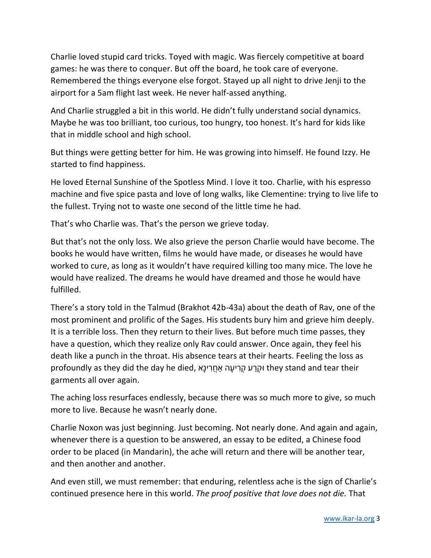Charlie loved stupid card tricks. Toyed with magic. Was fiercely competitive at board games: he was there to conquer. But off the board, he took care of everyone. Remembered the things everyone else forgot. Stayed up all night to drive Jenji to the airport for a 5am flight last week. He never half-assed anything.

And Charlie struggled a bit in this world. He didn't fully understand social dynamics. Maybe he was too brilliant, too curious, too hungry, too honest. It's hard for kids like that in middle school and high school.

But things were getting better for him. He was growing into himself. He found Izzy. He started to find happiness.

He loved Eternal Sunshine of the Spotless Mind. I love it too. Charlie, with his espresso machine and five spice pasta and love of long walks, like Clementine: trying to live life to the fullest. Trying not to waste one second of the little time he had.

That's who Charlie was. That's the person we grieve today.

But that's not the only loss. We also grieve the person Charlie would have become. The books he would have written, films he would have made, or diseases he would have worked to cure, as long as it wouldn't have required killing too many mice. The love he would have realized. The dreams he would have dreamed and those he would have fulfilled.

There's a story told in the Talmud (Brakhot 42b-43a) about the death of Rav, one of the most prominent and prolific of the Sages. His students bury him and grieve him deeply. It is a terrible loss. Then they return to their lives. But before much time passes, they have a question, which they realize only Rav could answer. Once again, they feel his death like a punch in the throat. His absence tears at their hearts. Feeling the loss as profoundly as they did the day he died, וּקְרַע קְרִיעָה אַחֲרִינָא they stand and tear their garments all over again.

The aching loss resurfaces endlessly, because there was so much more to give, so much more to live. Because he wasn't nearly done.

Charlie Noxon was just beginning. Just becoming. Not nearly done. And again and again, whenever there is a question to be answered, an essay to be edited, a Chinese food order to be placed (in Mandarin), the ache will return and there will be another tear, and then another and another.

And even still, we must remember: that enduring, relentless ache is the sign of Charlie's continued presence here in this world. *The proof positive that love does not die.* That